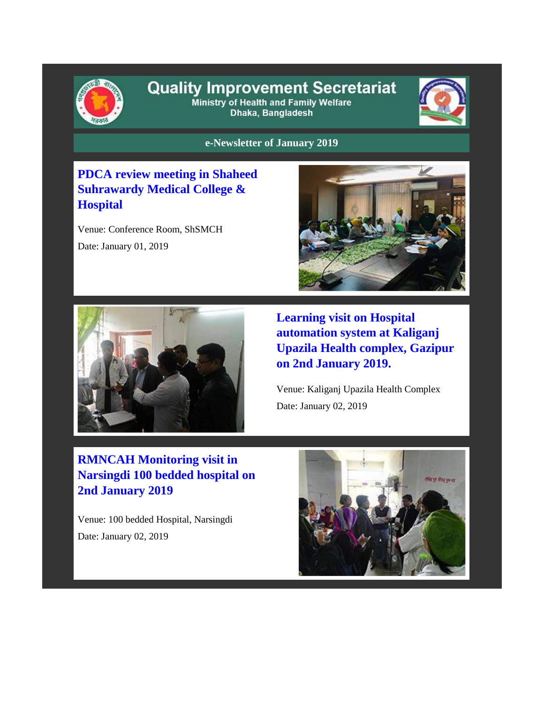

#### **Quality Improvement Secretariat** Ministry of Health and Family Welfare Dhaka, Bangladesh



**e-Newsletter of January 2019**

### **PDCA review meeting in Shaheed Suhrawardy Medical College & Hospital**

Venue: Conference Room, ShSMCH Date: January 01, 2019





**Learning visit on Hospital automation system at Kaliganj Upazila Health complex, Gazipur on 2nd January 2019.**

Venue: Kaliganj Upazila Health Complex Date: January 02, 2019

# **RMNCAH Monitoring visit in Narsingdi 100 bedded hospital on 2nd January 2019**

Venue: 100 bedded Hospital, Narsingdi Date: January 02, 2019

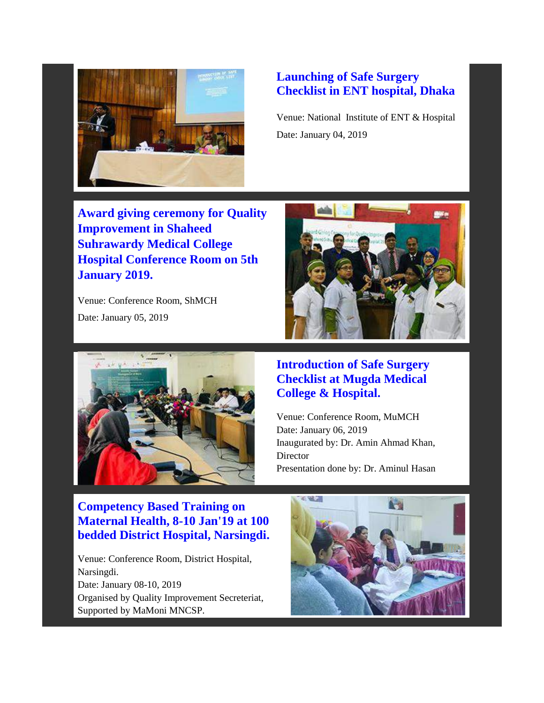

#### **Launching of Safe Surgery Checklist in ENT hospital, Dhaka**

Venue: National Institute of ENT & Hospital Date: January 04, 2019

**Award giving ceremony for Quality Improvement in Shaheed Suhrawardy Medical College Hospital Conference Room on 5th January 2019.**

Venue: Conference Room, ShMCH Date: January 05, 2019





#### **Introduction of Safe Surgery Checklist at Mugda Medical College & Hospital.**

Venue: Conference Room, MuMCH Date: January 06, 2019 Inaugurated by: Dr. Amin Ahmad Khan, Director Presentation done by: Dr. Aminul Hasan

### **Competency Based Training on Maternal Health, 8-10 Jan'19 at 100 bedded District Hospital, Narsingdi.**

Venue: Conference Room, District Hospital, Narsingdi. Date: January 08-10, 2019 Organised by Quality Improvement Secreteriat, Supported by MaMoni MNCSP.

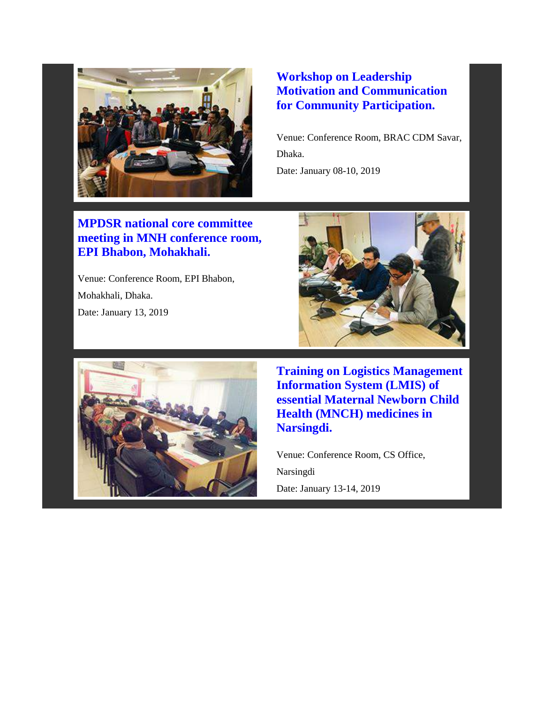

#### **Workshop on Leadership Motivation and Communication for Community Participation.**

Venue: Conference Room, BRAC CDM Savar, Dhaka. Date: January 08-10, 2019

### **MPDSR national core committee meeting in MNH conference room, EPI Bhabon, Mohakhali.**

Venue: Conference Room, EPI Bhabon, Mohakhali, Dhaka. Date: January 13, 2019





**Training on Logistics Management Information System (LMIS) of essential Maternal Newborn Child Health (MNCH) medicines in Narsingdi.**

Venue: Conference Room, CS Office, Narsingdi

Date: January 13-14, 2019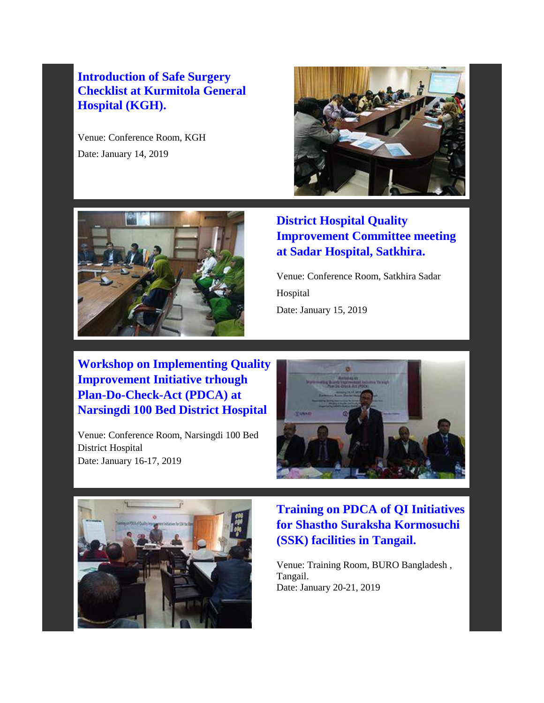### **Introduction of Safe Surgery Checklist at Kurmitola General Hospital (KGH).**

Venue: Conference Room, KGH Date: January 14, 2019



## **District Hospital Quality Improvement Committee meeting at Sadar Hospital, Satkhira.**

Venue: Conference Room, Satkhira Sadar Hospital Date: January 15, 2019

**Workshop on Implementing Quality Improvement Initiative trhough Plan-Do-Check-Act (PDCA) at Narsingdi 100 Bed District Hospital**

Venue: Conference Room, Narsingdi 100 Bed District Hospital Date: January 16-17, 2019





**Training on PDCA of QI Initiatives for Shastho Suraksha Kormosuchi (SSK) facilities in Tangail.**

Venue: Training Room, BURO Bangladesh , Tangail. Date: January 20-21, 2019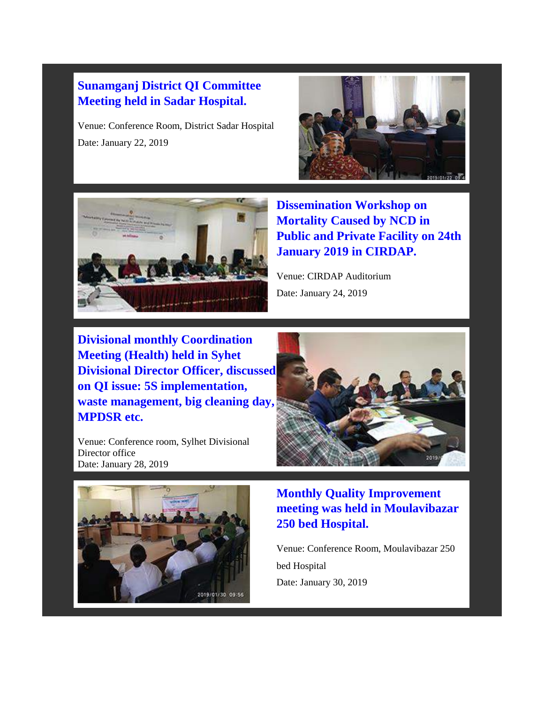#### **Sunamganj District QI Committee Meeting held in Sadar Hospital.**

Venue: Conference Room, District Sadar Hospital Date: January 22, 2019





**Dissemination Workshop on Mortality Caused by NCD in Public and Private Facility on 24th January 2019 in CIRDAP.**

Venue: CIRDAP Auditorium Date: January 24, 2019

**Divisional monthly Coordination Meeting (Health) held in Syhet Divisional Director Officer, discussed on QI issue: 5S implementation, waste management, big cleaning day, MPDSR etc.**

Venue: Conference room, Sylhet Divisional Director office Date: January 28, 2019





**Monthly Quality Improvement meeting was held in Moulavibazar 250 bed Hospital.**

Venue: Conference Room, Moulavibazar 250 bed Hospital Date: January 30, 2019